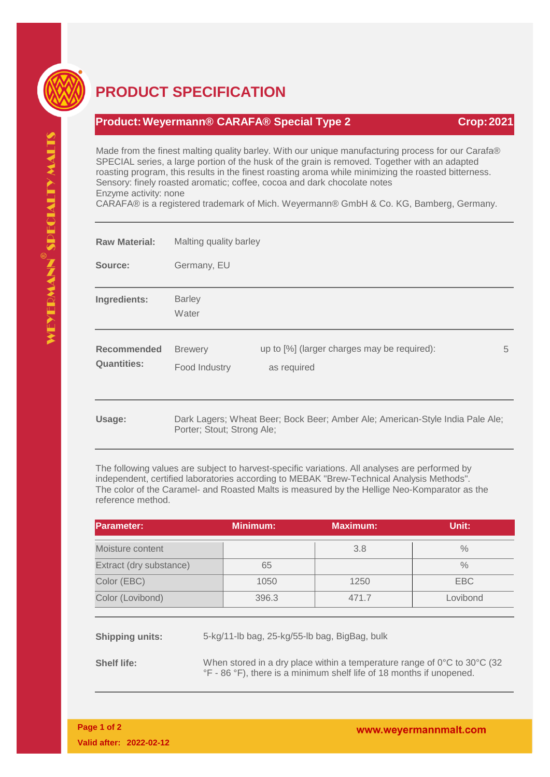

## **PRODUCT SPECIFICATION**

## **Product:Weyermann® CARAFA® Special Type 2 Crop:2021**

Made from the finest malting quality barley. With our unique manufacturing process for our Carafa® SPECIAL series, a large portion of the husk of the grain is removed. Together with an adapted roasting program, this results in the finest roasting aroma while minimizing the roasted bitterness. Sensory: finely roasted aromatic; coffee, cocoa and dark chocolate notes Enzyme activity: none

CARAFA® is a registered trademark of Mich. Weyermann® GmbH & Co. KG, Bamberg, Germany.

| <b>Raw Material:</b>                     | Malting quality barley          |                                                                               |   |
|------------------------------------------|---------------------------------|-------------------------------------------------------------------------------|---|
| Source:                                  | Germany, EU                     |                                                                               |   |
| Ingredients:                             | <b>Barley</b><br>Water          |                                                                               |   |
| <b>Recommended</b><br><b>Quantities:</b> | <b>Brewery</b><br>Food Industry | up to [%] (larger charges may be required):<br>as required                    | 5 |
| Usage:                                   | Porter; Stout; Strong Ale;      | Dark Lagers; Wheat Beer; Bock Beer; Amber Ale; American-Style India Pale Ale; |   |

The following values are subject to harvest-specific variations. All analyses are performed by independent, certified laboratories according to MEBAK "Brew-Technical Analysis Methods". The color of the Caramel- and Roasted Malts is measured by the Hellige Neo-Komparator as the reference method.

| <b>IParameter:</b>      | <b>Minimum:</b> | <b>Maximum:</b> | Unit:         |
|-------------------------|-----------------|-----------------|---------------|
| Moisture content        |                 | 3.8             | $\frac{0}{0}$ |
| Extract (dry substance) | 65              |                 | $\frac{0}{0}$ |
| Color (EBC)             | 1050            | 1250            | EBC           |
| Color (Lovibond)        | 396.3           | 471.7           | Lovibond      |

**Shipping units:** 5-kg/11-lb bag, 25-kg/55-lb bag, BigBag, bulk

**Shelf life:** When stored in a dry place within a temperature range of 0°C to 30°C (32) °F - 86 °F), there is a minimum shelf life of 18 months if unopened.